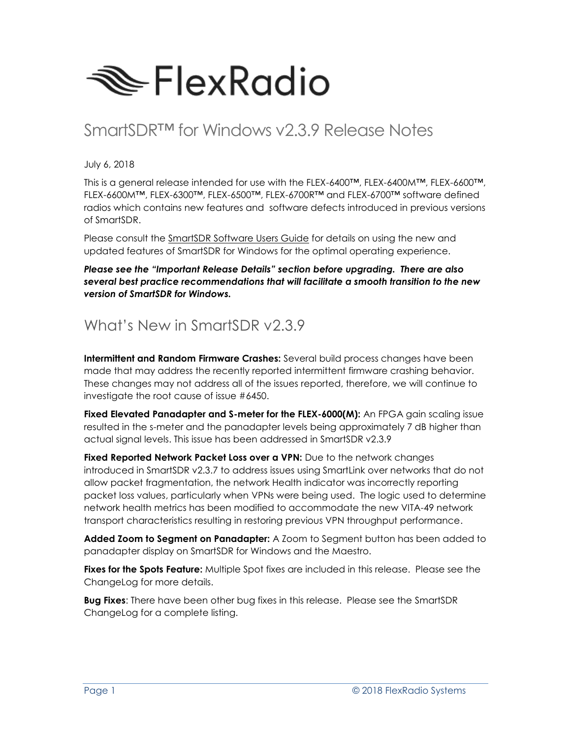

# SmartSDR™ for Windows v2.3.9 Release Notes

July 6, 2018

This is a general release intended for use with the FLEX-6400™, FLEX-6400M™, FLEX-6600™, FLEX-6600M™, FLEX-6300™, FLEX-6500™, FLEX-6700R™ and FLEX-6700™ software defined radios which contains new features and software defects introduced in previous versions of SmartSDR.

Please consult the SmartSDR Software Users Guide for details on using the new and updated features of SmartSDR for Windows for the optimal operating experience.

*Please see the "Important Release Details" section before upgrading. There are also several best practice recommendations that will facilitate a smooth transition to the new version of SmartSDR for Windows.*

### What's New in SmartSDR v2.3.9

**Intermittent and Random Firmware Crashes:** Several build process changes have been made that may address the recently reported intermittent firmware crashing behavior. These changes may not address all of the issues reported, therefore, we will continue to investigate the root cause of issue #6450.

**Fixed Elevated Panadapter and S-meter for the FLEX-6000(M):** An FPGA gain scaling issue resulted in the s-meter and the panadapter levels being approximately 7 dB higher than actual signal levels. This issue has been addressed in SmartSDR v2.3.9

**Fixed Reported Network Packet Loss over a VPN:** Due to the network changes introduced in SmartSDR v2.3.7 to address issues using SmartLink over networks that do not allow packet fragmentation, the network Health indicator was incorrectly reporting packet loss values, particularly when VPNs were being used. The logic used to determine network health metrics has been modified to accommodate the new VITA-49 network transport characteristics resulting in restoring previous VPN throughput performance.

**Added Zoom to Segment on Panadapter:** A Zoom to Segment button has been added to panadapter display on SmartSDR for Windows and the Maestro.

**Fixes for the Spots Feature:** Multiple Spot fixes are included in this release. Please see the ChangeLog for more details.

**Bug Fixes**: There have been other bug fixes in this release. Please see the SmartSDR ChangeLog for a complete listing.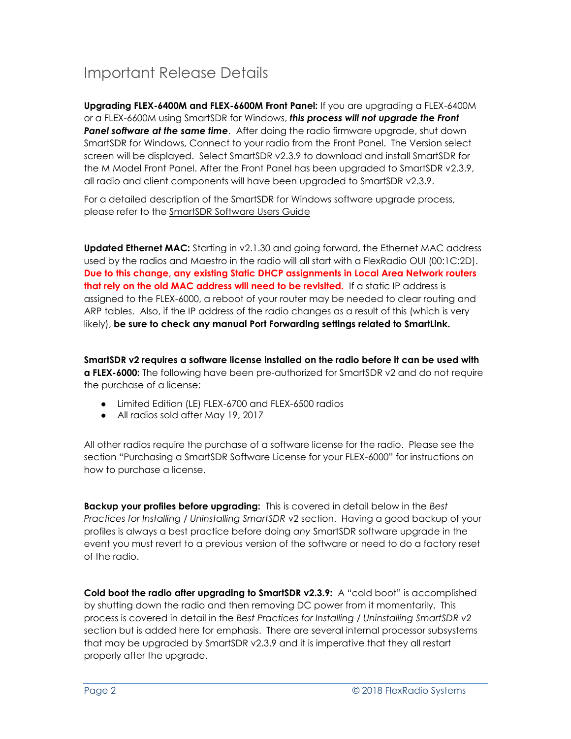# Important Release Details

**Upgrading FLEX-6400M and FLEX-6600M Front Panel:** If you are upgrading a FLEX-6400M or a FLEX-6600M using SmartSDR for Windows, *this process will not upgrade the Front*  **Panel software at the same time**. After doing the radio firmware upgrade, shut down SmartSDR for Windows, Connect to your radio from the Front Panel. The Version select screen will be displayed. Select SmartSDR v2.3.9 to download and install SmartSDR for the M Model Front Panel. After the Front Panel has been upgraded to SmartSDR v2.3.9, all radio and client components will have been upgraded to SmartSDR v2.3.9.

For a detailed description of the SmartSDR for Windows software upgrade process, please refer to the SmartSDR Software Users Guide

**Updated Ethernet MAC:** Starting in v2.1.30 and going forward, the Ethernet MAC address used by the radios and Maestro in the radio will all start with a FlexRadio OUI (00:1C:2D). **Due to this change, any existing Static DHCP assignments in Local Area Network routers that rely on the old MAC address will need to be revisited.** If a static IP address is assigned to the FLEX-6000, a reboot of your router may be needed to clear routing and ARP tables. Also, if the IP address of the radio changes as a result of this (which is very likely), **be sure to check any manual Port Forwarding settings related to SmartLink.**

**SmartSDR v2 requires a software license installed on the radio before it can be used with a FLEX-6000:** The following have been pre-authorized for SmartSDR v2 and do not require the purchase of a license:

- Limited Edition (LE) FLEX-6700 and FLEX-6500 radios
- All radios sold after May 19, 2017

All other radios require the purchase of a software license for the radio. Please see the section "Purchasing a SmartSDR Software License for your FLEX-6000" for instructions on how to purchase a license.

**Backup your profiles before upgrading:** This is covered in detail below in the *Best Practices for Installing / Uninstalling SmartSDR* v2 section. Having a good backup of your profiles is always a best practice before doing *any* SmartSDR software upgrade in the event you must revert to a previous version of the software or need to do a factory reset of the radio.

**Cold boot the radio after upgrading to SmartSDR v2.3.9:** A "cold boot" is accomplished by shutting down the radio and then removing DC power from it momentarily. This process is covered in detail in the *Best Practices for Installing / Uninstalling SmartSDR v2* section but is added here for emphasis. There are several internal processor subsystems that may be upgraded by SmartSDR v2.3.9 and it is imperative that they all restart properly after the upgrade.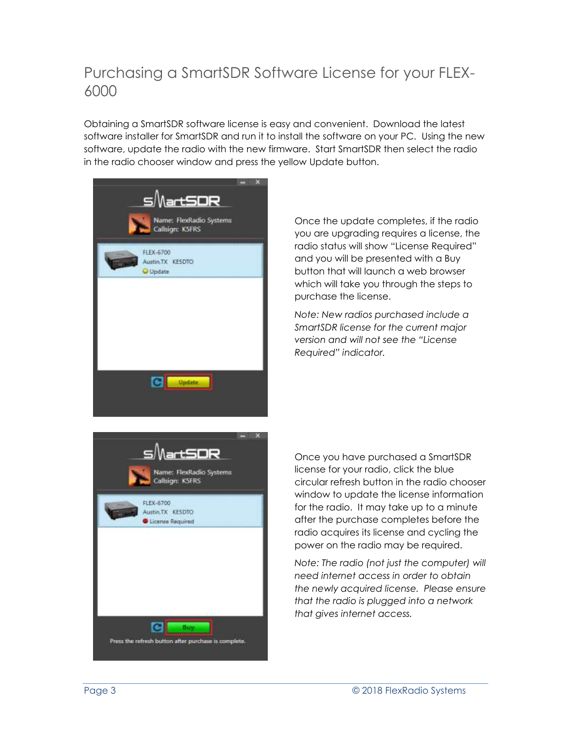### Purchasing a SmartSDR Software License for your FLEX-6000

Obtaining a SmartSDR software license is easy and convenient. Download the latest software installer for SmartSDR and run it to install the software on your PC. Using the new software, update the radio with the new firmware. Start SmartSDR then select the radio in the radio chooser window and press the yellow Update button.



Once the update completes, if the radio you are upgrading requires a license, the radio status will show "License Required" and you will be presented with a Buy button that will launch a web browser which will take you through the steps to purchase the license.

*Note: New radios purchased include a SmartSDR license for the current major version and will not see the "License Required" indicator.*



Once you have purchased a SmartSDR license for your radio, click the blue circular refresh button in the radio chooser window to update the license information for the radio. It may take up to a minute after the purchase completes before the radio acquires its license and cycling the power on the radio may be required.

*Note: The radio (not just the computer) will need internet access in order to obtain the newly acquired license. Please ensure that the radio is plugged into a network that gives internet access.*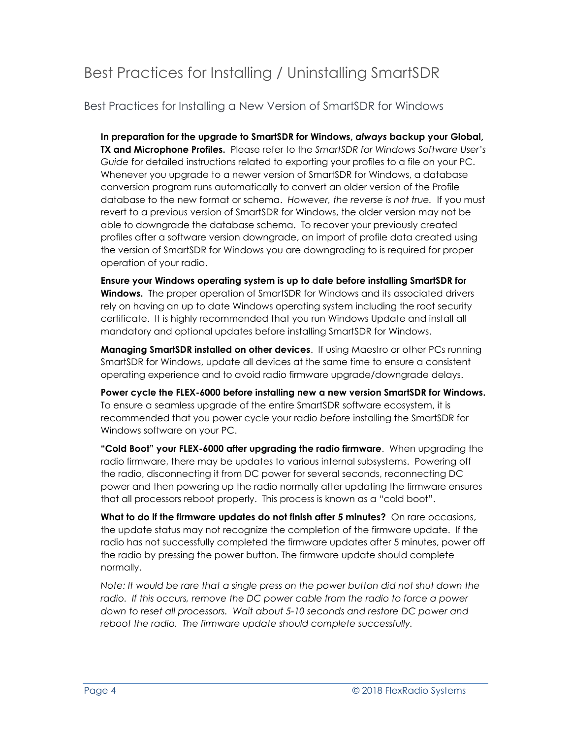# Best Practices for Installing / Uninstalling SmartSDR

Best Practices for Installing a New Version of SmartSDR for Windows

**In preparation for the upgrade to SmartSDR for Windows,** *always* **backup your Global, TX and Microphone Profiles.** Please refer to the *SmartSDR for Windows Software User's Guide* for detailed instructions related to exporting your profiles to a file on your PC. Whenever you upgrade to a newer version of SmartSDR for Windows, a database conversion program runs automatically to convert an older version of the Profile database to the new format or schema. *However, the reverse is not true.* If you must revert to a previous version of SmartSDR for Windows, the older version may not be able to downgrade the database schema. To recover your previously created profiles after a software version downgrade, an import of profile data created using the version of SmartSDR for Windows you are downgrading to is required for proper operation of your radio.

**Ensure your Windows operating system is up to date before installing SmartSDR for Windows.** The proper operation of SmartSDR for Windows and its associated drivers rely on having an up to date Windows operating system including the root security certificate. It is highly recommended that you run Windows Update and install all mandatory and optional updates before installing SmartSDR for Windows.

**Managing SmartSDR installed on other devices**. If using Maestro or other PCs running SmartSDR for Windows, update all devices at the same time to ensure a consistent operating experience and to avoid radio firmware upgrade/downgrade delays.

**Power cycle the FLEX-6000 before installing new a new version SmartSDR for Windows.**  To ensure a seamless upgrade of the entire SmartSDR software ecosystem, it is recommended that you power cycle your radio *before* installing the SmartSDR for Windows software on your PC.

**"Cold Boot" your FLEX-6000 after upgrading the radio firmware**. When upgrading the radio firmware, there may be updates to various internal subsystems. Powering off the radio, disconnecting it from DC power for several seconds, reconnecting DC power and then powering up the radio normally after updating the firmware ensures that all processors reboot properly. This process is known as a "cold boot".

**What to do if the firmware updates do not finish after 5 minutes?** On rare occasions, the update status may not recognize the completion of the firmware update. If the radio has not successfully completed the firmware updates after 5 minutes, power off the radio by pressing the power button. The firmware update should complete normally.

*Note: It would be rare that a single press on the power button did not shut down the radio. If this occurs, remove the DC power cable from the radio to force a power down to reset all processors. Wait about 5-10 seconds and restore DC power and reboot the radio. The firmware update should complete successfully.*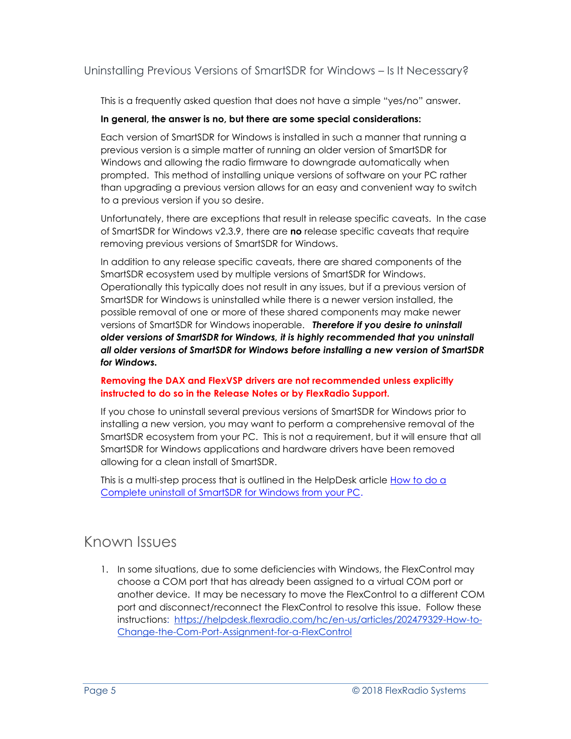Uninstalling Previous Versions of SmartSDR for Windows – Is It Necessary?

This is a frequently asked question that does not have a simple "yes/no" answer.

#### **In general, the answer is no, but there are some special considerations:**

Each version of SmartSDR for Windows is installed in such a manner that running a previous version is a simple matter of running an older version of SmartSDR for Windows and allowing the radio firmware to downgrade automatically when prompted. This method of installing unique versions of software on your PC rather than upgrading a previous version allows for an easy and convenient way to switch to a previous version if you so desire.

Unfortunately, there are exceptions that result in release specific caveats. In the case of SmartSDR for Windows v2.3.9, there are **no** release specific caveats that require removing previous versions of SmartSDR for Windows.

In addition to any release specific caveats, there are shared components of the SmartSDR ecosystem used by multiple versions of SmartSDR for Windows. Operationally this typically does not result in any issues, but if a previous version of SmartSDR for Windows is uninstalled while there is a newer version installed, the possible removal of one or more of these shared components may make newer versions of SmartSDR for Windows inoperable. *Therefore if you desire to uninstall older versions of SmartSDR for Windows, it is highly recommended that you uninstall all older versions of SmartSDR for Windows before installing a new version of SmartSDR for Windows.* 

#### **Removing the DAX and FlexVSP drivers are not recommended unless explicitly instructed to do so in the Release Notes or by FlexRadio Support.**

If you chose to uninstall several previous versions of SmartSDR for Windows prior to installing a new version, you may want to perform a comprehensive removal of the SmartSDR ecosystem from your PC. This is not a requirement, but it will ensure that all SmartSDR for Windows applications and hardware drivers have been removed allowing for a clean install of SmartSDR.

This is a multi-step process that is outlined in the HelpDesk article [How to do](https://helpdesk.flexradio.com/hc/en-us/articles/204975589-How-to-do-a-Complete-uninstall-of-SmartSDR-for-Windows-from-your-PC) a [Complete uninstall of SmartSDR for Windows from your PC.](https://helpdesk.flexradio.com/hc/en-us/articles/204975589-How-to-do-a-Complete-uninstall-of-SmartSDR-for-Windows-from-your-PC)

### Known Issues

1. In some situations, due to some deficiencies with Windows, the FlexControl may choose a COM port that has already been assigned to a virtual COM port or another device. It may be necessary to move the FlexControl to a different COM port and disconnect/reconnect the FlexControl to resolve this issue. Follow these instructions: [https://helpdesk.flexradio.com/hc/en-us/articles/202479329-How-to-](https://helpdesk.flexradio.com/hc/en-us/articles/202479329-How-to-Change-the-Com-Port-Assignment-for-a-FlexControl)[Change-the-Com-Port-Assignment-for-a-FlexControl](https://helpdesk.flexradio.com/hc/en-us/articles/202479329-How-to-Change-the-Com-Port-Assignment-for-a-FlexControl)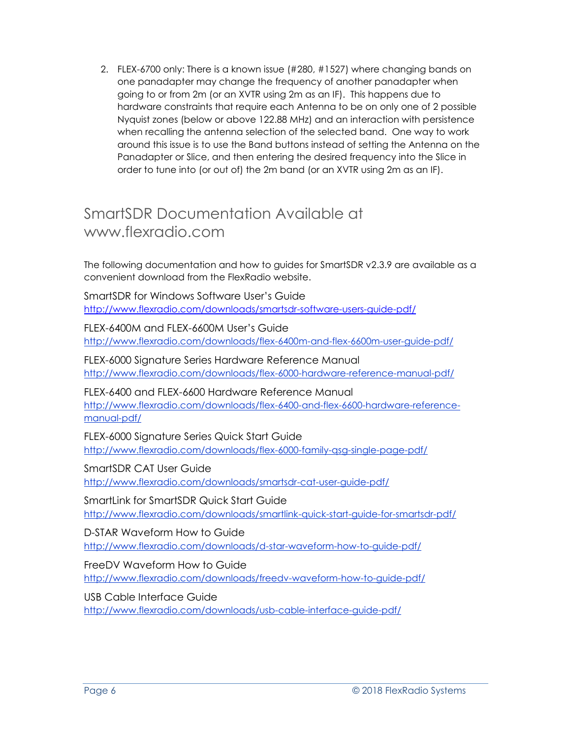2. FLEX-6700 only: There is a known issue (#280, #1527) where changing bands on one panadapter may change the frequency of another panadapter when going to or from 2m (or an XVTR using 2m as an IF). This happens due to hardware constraints that require each Antenna to be on only one of 2 possible Nyquist zones (below or above 122.88 MHz) and an interaction with persistence when recalling the antenna selection of the selected band. One way to work around this issue is to use the Band buttons instead of setting the Antenna on the Panadapter or Slice, and then entering the desired frequency into the Slice in order to tune into (or out of) the 2m band (or an XVTR using 2m as an IF).

### SmartSDR Documentation Available at www.flexradio.com

The following documentation and how to guides for SmartSDR v2.3.9 are available as a convenient download from the FlexRadio website.

SmartSDR for Windows Software User's Guide <http://www.flexradio.com/downloads/smartsdr-software-users-guide-pdf/>

FLEX-6400M and FLEX-6600M User's Guide <http://www.flexradio.com/downloads/flex-6400m-and-flex-6600m-user-guide-pdf/>

FLEX-6000 Signature Series Hardware Reference Manual <http://www.flexradio.com/downloads/flex-6000-hardware-reference-manual-pdf/>

FLEX-6400 and FLEX-6600 Hardware Reference Manual [http://www.flexradio.com/downloads/flex-6400-and-flex-6600-hardware-reference](http://www.flexradio.com/downloads/flex-6400-and-flex-6600-hardware-reference-manual-pdf/)[manual-pdf/](http://www.flexradio.com/downloads/flex-6400-and-flex-6600-hardware-reference-manual-pdf/)

FLEX-6000 Signature Series Quick Start Guide <http://www.flexradio.com/downloads/flex-6000-family-qsg-single-page-pdf/>

SmartSDR CAT User Guide <http://www.flexradio.com/downloads/smartsdr-cat-user-guide-pdf/>

SmartLink for SmartSDR Quick Start Guide <http://www.flexradio.com/downloads/smartlink-quick-start-guide-for-smartsdr-pdf/>

D-STAR Waveform How to Guide <http://www.flexradio.com/downloads/d-star-waveform-how-to-guide-pdf/>

FreeDV Waveform How to Guide <http://www.flexradio.com/downloads/freedv-waveform-how-to-guide-pdf/>

USB Cable Interface Guide

<http://www.flexradio.com/downloads/usb-cable-interface-guide-pdf/>